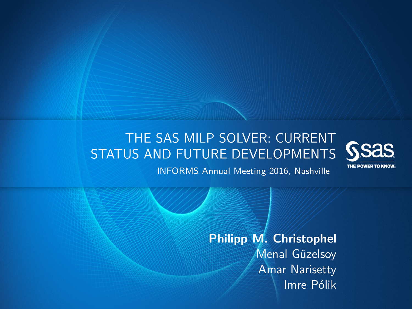### THE SAS MILP SOLVER: CURRENT STATUS AND FUTURE DEVELOPMENTS



INFORMS Annual Meeting 2016, Nashville

**Philipp M. Christophel** Menal Güzelsoy Amar Narisetty Imre Pólik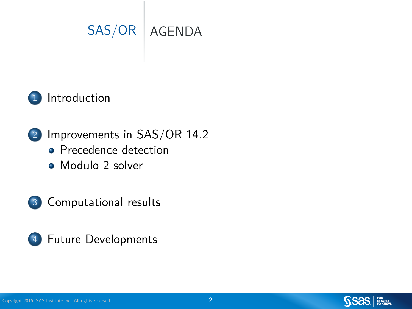



2 [Improvements in SAS/OR 14.2](#page-3-0) **•** [Precedence detection](#page-4-0)

[Modulo 2 solver](#page-9-0)





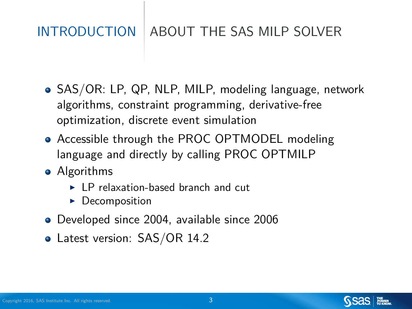### <span id="page-2-0"></span>[INTRODUCTION](#page-15-0) | ABOUT THE SAS MILP SOLVER

- SAS/OR: LP, QP, NLP, MILP, modeling language, network algorithms, constraint programming, derivative-free optimization, discrete event simulation
- Accessible through the PROC OPTMODEL modeling language and directly by calling PROC OPTMILP
- Algorithms
	- $\blacktriangleright$  LP relaxation-based branch and cut
	- $\triangleright$  Decomposition
- Developed since 2004, available since 2006
- Latest version: SAS/OR 14.2

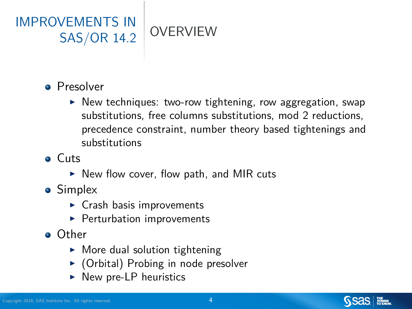<span id="page-3-0"></span>

- **Presolver** 
	- $\triangleright$  New techniques: two-row tightening, row aggregation, swap substitutions, free columns substitutions, mod 2 reductions, precedence constraint, number theory based tightenings and substitutions
- Cuts
	- $\triangleright$  New flow cover, flow path, and MIR cuts
- Simplex
	- $\triangleright$  Crash basis improvements
	- $\blacktriangleright$  Perturbation improvements
- Other
	- $\blacktriangleright$  More dual solution tightening
	- $\triangleright$  (Orbital) Probing in node presolver
	- $\triangleright$  New pre-LP heuristics



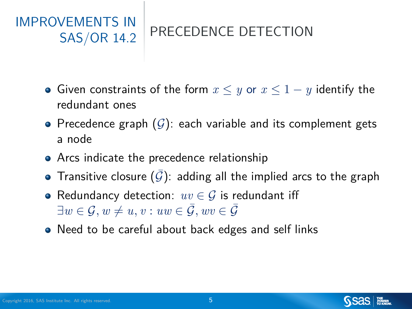### <span id="page-4-0"></span>[IMPROVEMENTS IN](#page-15-0) [SAS/OR 14.2](#page-15-0) PRECEDENCE DETECTION

- Given constraints of the form *x* ≤ *y* or *x* ≤ 1 − *y* identify the redundant ones
- Precedence graph  $(G)$ : each variable and its complement gets a node
- Arcs indicate the precedence relationship
- Transitive closure  $(\bar{\mathcal{G}})$ : adding all the implied arcs to the graph
- Redundancy detection: *uv* ∈ G is redundant iff  $\exists w \in \mathcal{G}, w \neq u, v : uw \in \overline{\mathcal{G}}, wv \in \overline{\mathcal{G}}$
- Need to be careful about back edges and self links

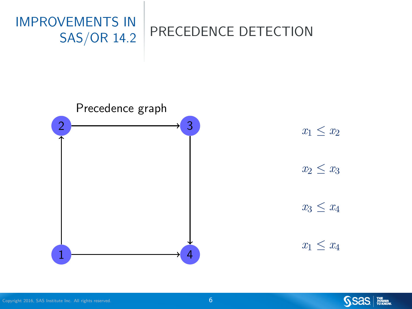





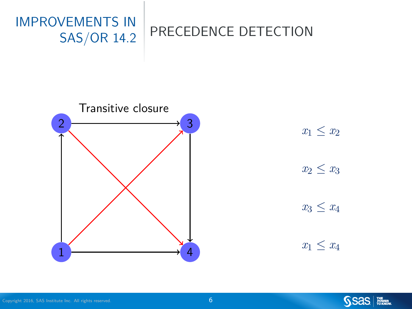



 $x_1 \leq x_2$  $x_2 \leq x_3$  $x_3 \leq x_4$ 

 $x_1 \leq x_4$ 



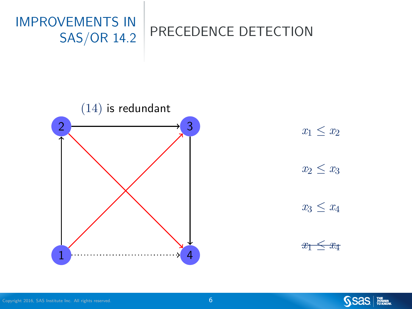



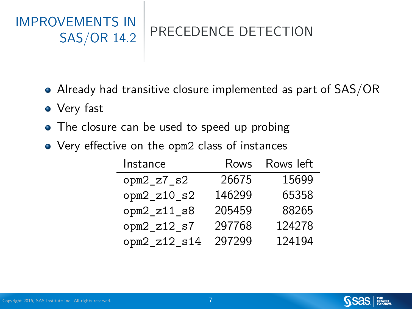# [IMPROVEMENTS IN](#page-15-0)

### [SAS/OR 14.2](#page-15-0) PRECEDENCE DETECTION

- Already had transitive closure implemented as part of SAS/OR
- Very fast
- The closure can be used to speed up probing
- Very effective on the opm2 class of instances

| Instance      | Rows   | Rows left |
|---------------|--------|-----------|
| $opm2_z7_s2$  | 26675  | 15699     |
| $opm2_z10_s2$ | 146299 | 65358     |
| $opm2_z11_s8$ | 205459 | 88265     |
| $opm2_z12_s7$ | 297768 | 124278    |
| opm2_z12_s14  | 297299 | 124194    |

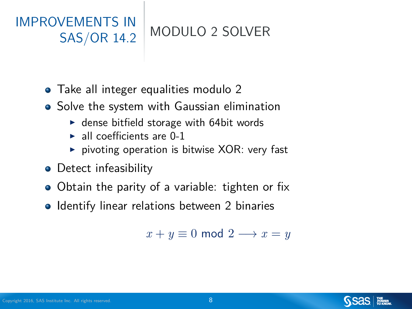## <span id="page-9-0"></span>[IMPROVEMENTS IN](#page-15-0)

[SAS/OR 14.2](#page-15-0) MODULO 2 SOLVER

- Take all integer equalities modulo 2
- **•** Solve the system with Gaussian elimination
	- $\blacktriangleright$  dense bitfield storage with 64bit words
	- $\blacktriangleright$  all coefficients are 0-1
	- $\triangleright$  pivoting operation is bitwise XOR: very fast
- Detect infeasibility
- Obtain the parity of a variable: tighten or fix
- Identify linear relations between 2 binaries

 $x + y \equiv 0 \mod 2 \longrightarrow x = y$ 



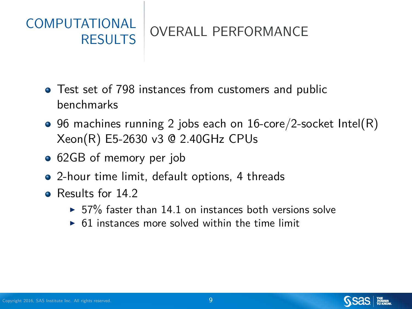### <span id="page-10-0"></span>[COMPUTATIONAL](#page-15-0) [RESULTS](#page-15-0) OVERALL PERFORMANCE

- Test set of 798 instances from customers and public benchmarks
- 96 machines running 2 jobs each on 16-core/2-socket Intel(R) Xeon(R) E5-2630 v3 @ 2.40GHz CPUs
- 62GB of memory per job
- 2-hour time limit, default options, 4 threads
- Results for 14.2
	- $\triangleright$  57% faster than 14.1 on instances both versions solve
	- $\triangleright$  61 instances more solved within the time limit

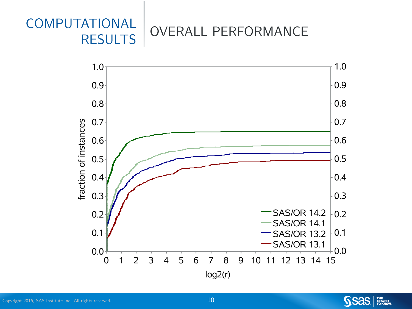### [COMPUTATIONAL](#page-15-0) **[RESULTS](#page-15-0) OVERALL PERFORMANCE**



SSas | *Witter*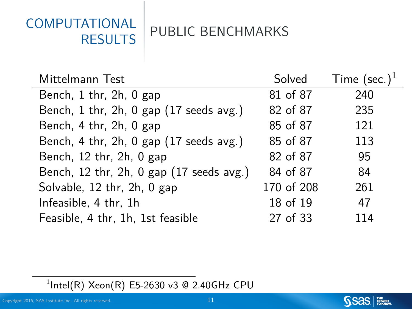## [COMPUTATIONAL](#page-15-0)

[RESULTS](#page-15-0) PUBLIC BENCHMARKS

| Mittelmann Test                          | Solved     | Time $(\text{sec.})^1$ |
|------------------------------------------|------------|------------------------|
| Bench, 1 thr, 2h, 0 gap                  | 81 of 87   | 240                    |
| Bench, 1 thr, 2h, 0 gap (17 seeds avg.)  | 82 of 87   | 235                    |
| Bench, 4 thr, 2h, 0 gap                  | 85 of 87   | 121                    |
| Bench, 4 thr, 2h, 0 gap (17 seeds avg.)  | 85 of 87   | 113                    |
| Bench, 12 thr, 2h, 0 gap                 | 82 of 87   | 95                     |
| Bench, 12 thr, 2h, 0 gap (17 seeds avg.) | 84 of 87   | 84                     |
| Solvable, 12 thr, 2h, 0 gap              | 170 of 208 | 261                    |
| Infeasible, 4 thr, 1h                    | 18 of 19   | 47                     |
| Feasible, 4 thr, 1h, 1st feasible        | 27 of 33   | 114                    |

 $1$ Intel(R) Xeon(R) E5-2630 v3 @ 2.40GHz CPU



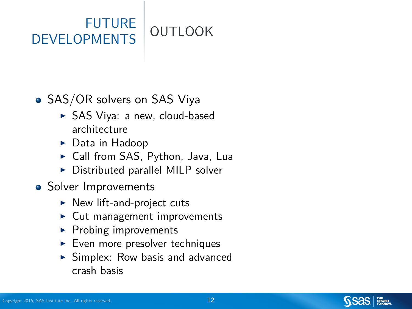### <span id="page-13-0"></span>[FUTURE](#page-15-0) [DEVELOPMENTS](#page-15-0) OUTLOOK

#### • SAS/OR solvers on SAS Viya

- ▶ SAS Viya: a new, cloud-based architecture
- $\triangleright$  Data in Hadoop
- ► Call from SAS, Python, Java, Lua
- $\triangleright$  Distributed parallel MILP solver
- Solver Improvements
	- $\triangleright$  New lift-and-project cuts
	- $\blacktriangleright$  Cut management improvements
	- $\blacktriangleright$  Probing improvements
	- $\blacktriangleright$  Even more presolver techniques
	- $\triangleright$  Simplex: Row basis and advanced crash basis

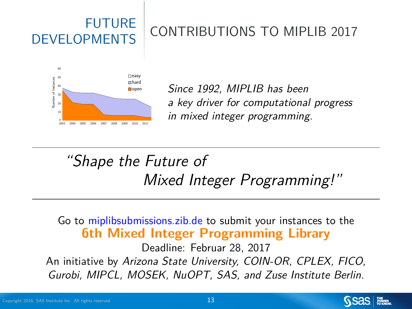# [FUTURE](#page-15-0)

### [DEVELOPMENTS](#page-15-0) CONTRIBUTIONS TO MIPLIB 2017



open Since 1992, MIPLIB has been a key driver for computational progress in mixed integer programming.

"Shape the Future of Mixed Integer Programming!"

Go to [miplibsubmissions.zib.de](https://miplibsubmissions.zib.de) to submit your instances to the **6th Mixed Integer Programming Library**

Deadline: Februar 28, 2017 An initiative by Arizona State University, COIN-OR, CPLEX, FICO, Gurobi, MIPCL, MOSEK, NuOPT, SAS, and Zuse Institute Berlin.